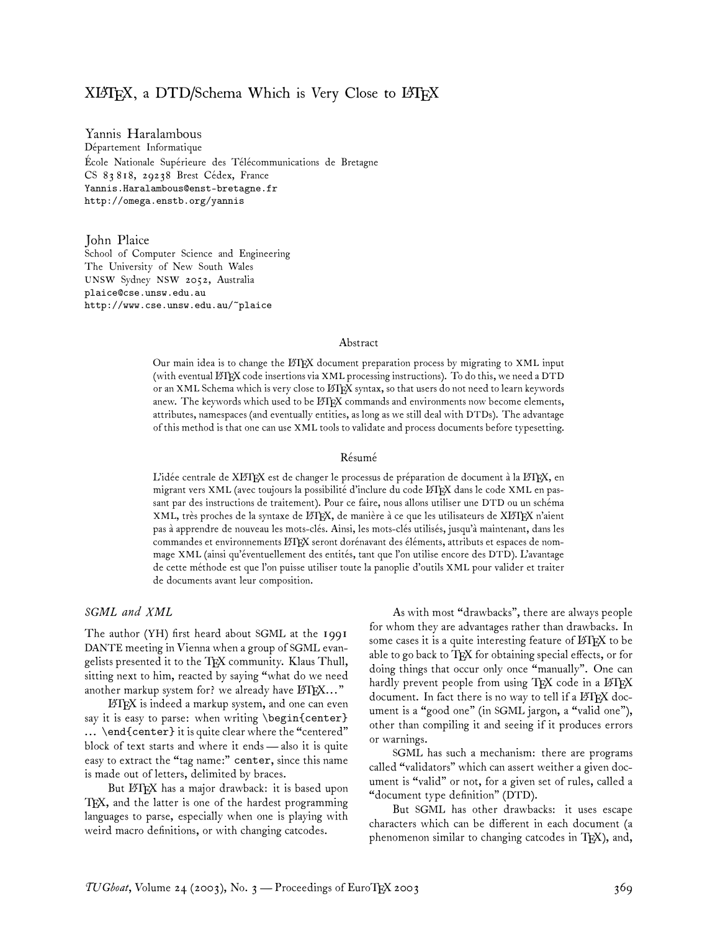# XLAT<sub>E</sub>X, a DTD/Schema Which is Very Close to LATEX

Yannis Haralambous Département Informatique École Nationale Supérieure des Télécommunications de Bretagne CS 83 818, 29238 Brest Cédex, France Yannis.Haralambous@enst-bretagne.fr http://omega.enstb.org/yannis

John Plaice School of Computer Science and Engineering The University of New South Wales UNSW Sydney NSW 2052, Australia plaice@cse.unsw.edu.au http://www.cse.unsw.edu.au/~plaice

### Abstract

Our main idea is to change the L<sup>A</sup>TEX document preparation process by migrating to XML input (with eventual L<sup>A</sup>TEX code insertions via XML processing instructions). To do this, we need a DTD or an XML Schema which is very close to ETEX syntax, so that users do not need to learn keywords anew. The keywords which used to be LHEX commands and environments now become elements, attributes, namespaces (and eventually entities, as long as we still deal with DTDs). The advantage of this method is that one can use XML tools to validate and process documents before typesetting.

### Résumé

L'idée centrale de XLITEX est de changer le processus de préparation de document à la LATEX, en migrant vers XML (avec toujours la possibilité d'inclure du code L<sup>A</sup>TEX dans le code XML en passant par des instructions de traitement). Pour ce faire, nous allons utiliser une DTD ou un schéma XML, très proches de la syntaxe de L<sup>A</sup>TEX, de manière à ce que les utilisateurs de XL<sup>A</sup>TEX n'aient pas à apprendre de nouveau les mots-clés. Ainsi, les mots-clés utilisés, jusqu'à maintenant, dans les commandes et environnements LATEX seront dorénavant des éléments, attributs et espaces de nommage XML (ainsi qu'éventuellement des entités, tant que l'on utilise encore des DTD). L'avantage de cette méthode est que l'on puisse utiliser toute la panoplie d'outils XML pour valider et traiter de documents avant leur composition.

### *SGML and XML*

The author (YH) first heard about SGML at the 1991 DANTE meeting in Vienna when a group of SGML evangelists presented it to the TEX community. Klaus Thull, sitting next to him, reacted by saying "what do we need another markup system for? we already have  $\mathbb{F}$ F<sub>K</sub> $\dots$ "

L<sup>A</sup>TEX is indeed a markup system, and one can even say it is easy to parse: when writing \begin{center} ... \end{center} it is quite clear where the "centered" block of text starts and where it ends— also it is quite easy to extract the "tag name:" center, since this name is made out of letters, delimited by braces.

But LATEX has a major drawback: it is based upon TEX, and the latter is one of the hardest programming languages to parse, especially when one is playing with weird macro definitions, or with changing catcodes.

As with most "drawbacks", there are always people for whom they are advantages rather than drawbacks. In some cases it is a quite interesting feature of LATEX to be able to go back to TFX for obtaining special effects, or for doing things that occur only once "manually". One can hardly prevent people from using  $T_F X$  code in a  $\operatorname{\mathcal{B}T_F} X$ document. In fact there is no way to tell if a LATEX document is a "good one" (in SGML jargon, a "valid one"), other than compiling it and seeing if it produces errors or warnings.

SGML has such a mechanism: there are programs called "validators" which can assert weither a given document is "valid" or not, for a given set of rules, called a "document type definition" (DTD).

But SGML has other drawbacks: it uses escape characters which can be different in each document (a phenomenon similar to changing catcodes in TFX), and,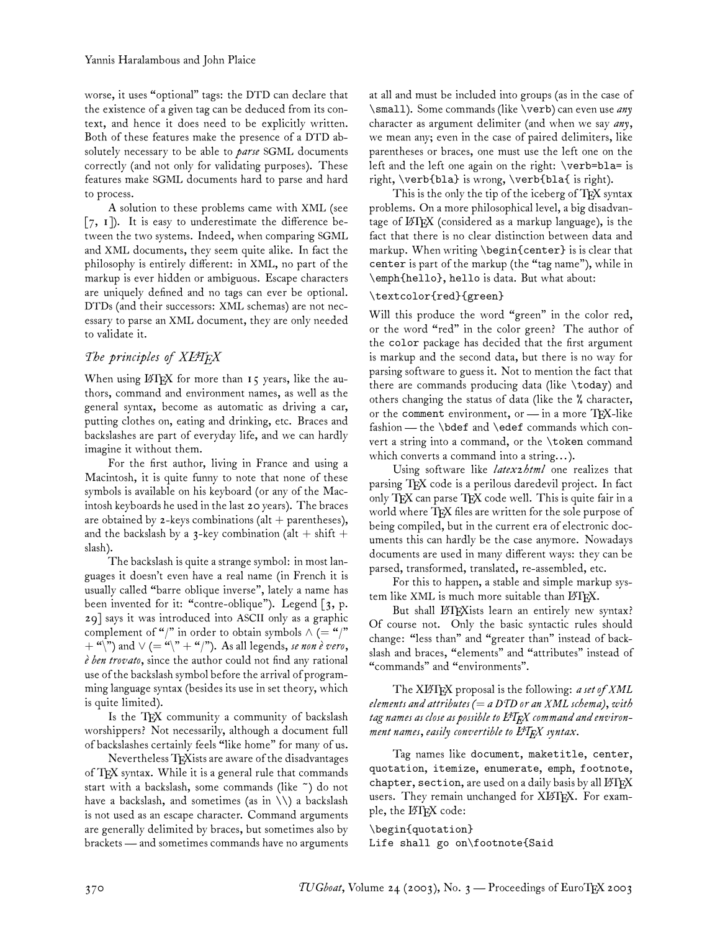worse, it uses "optional" tags: the DTD can declare that the existence of a given tag can be deduced from its context, and hence it does need to be explicitly written. Both of these features make the presence of a DTD absolutely necessary to be able to *parse* SGML documents correctly (and not only for validating purposes). These features make SGML documents hard to parse and hard to process.

A solution to these problems came with XML (see [7, 1]). It is easy to underestimate the difference between the two systems. Indeed, when comparing SGML and XML documents, they seem quite alike. In fact the philosophy is entirely different: in XML, no part of the markup is ever hidden or ambiguous. Escape characters are uniquely defined and no tags can ever be optional. DTDs (and their successors: XML schemas) are not necessary to parse an XML document, they are only needed to validate it.

### *The principles of XL<sup>A</sup>TEX*

When using  $\Delta T$ <sub>F</sub>X for more than  $\bf{15}$  years, like the authors, command and environment names, as well as the general syntax, become as automatic as driving a car, putting clothes on, eating and drinking, etc. Braces and backslashes are part of everyday life, and we can hardly imagine it without them.

For the first author, living in France and using a Macintosh, it is quite funny to note that none of these symbols is available on his keyboard (or any of the Macintosh keyboards he used in the last 20 years). The braces are obtained by  $z$ -keys combinations (alt + parentheses), and the backslash by a 3-key combination (alt  $+$  shift  $+$ slash).

The backslash is quite a strange symbol: in most languages it doesn't even have a real name (in French it is usually called "barre oblique inverse", lately a name has been invented for it: "contre-oblique"). Legend  $\lceil 3, p$ . 29] says it was introduced into ASCII only as a graphic complement of "/" in order to obtain symbols  $\wedge$  (= "/"  $+$  "\") and  $\vee$  (= "\" + "\"). As all legends, *se non è vero*, *è ben trovato*, since the author could not find any rational use of the backslash symbol before the arrival of programming language syntax (besides its use in set theory, which is quite limited).

Is the TFX community a community of backslash worshippers? Not necessarily, although a document full of backslashes certainly feels "like home" for many of us.

Nevertheless TEXists are aware of the disadvantages of TFX syntax. While it is a general rule that commands start with a backslash, some commands (like ~) do not have a backslash, and sometimes (as in  $\setminus$ ) a backslash is not used as an escape character. Command arguments are generally delimited by braces, but sometimes also by brackets — and sometimes commands have no arguments

at all and must be included into groups (as in the case of \small). Some commands (like \verb) can even use *any* character as argument delimiter (and when we say *any*, we mean any; even in the case of paired delimiters, like parentheses or braces, one must use the left one on the left and the left one again on the right: \verb=bla= is right, \verb{bla} is wrong, \verb{bla{ is right).

This is the only the tip of the iceberg of TEX syntax problems. On a more philosophical level, a big disadvantage of L<sup>A</sup>TEX (considered as a markup language), is the fact that there is no clear distinction between data and markup. When writing \begin{center} is is clear that center is part of the markup (the "tag name"), while in \emph{hello}, hello is data. But what about:

### \textcolor{red}{green}

Will this produce the word "green" in the color red, or the word "red" in the color green? The author of the color package has decided that the first argument is markup and the second data, but there is no way for parsing software to guess it. Not to mention the fact that there are commands producing data (like \today) and others changing the status of data (like the % character, or the comment environment, or - in a more TEX-like fashion — the \bdef and \edef commands which convert a string into a command, or the \token command which converts a command into a string... ).

Using software like *latex2html* one realizes that parsing TFX code is a perilous daredevil project. In fact only TEX can parse TEX code well. This is quite fair in a world where TFX files are written for the sole purpose of being compiled, but in the current era of electronic documents this can hardly be the case anymore. Nowadays documents are used in many different ways: they can be parsed, transformed, translated, re-assembled, etc.

For this to happen, a stable and simple markup system like XML is much more suitable than LATEX.

But shall LATEX ists learn an entirely new syntax? Of course not. Only the basic syntactic rules should change: "less than" and "greater than" instead of backslash and braces, "elements" and "attributes" instead of "commands" and "environments".

The XL<sup>A</sup>TEX proposal is the following: *a set of XML elements and attributes (*= *a DTD or an XML schema), with tag names as close as possible to L<sup>A</sup>TEX command and environment names, easily convertible to L<sup>A</sup>TEX syntax*.

Tag names like document, maketitle, center, quotation, itemize, enumerate, emph, footnote, chapter, section, are used on a daily basis by all LATEX users. They remain unchanged for XIATEX. For example, the L<sup>A</sup>TEX code:

\begin{quotation} Life shall go on\footnote{Said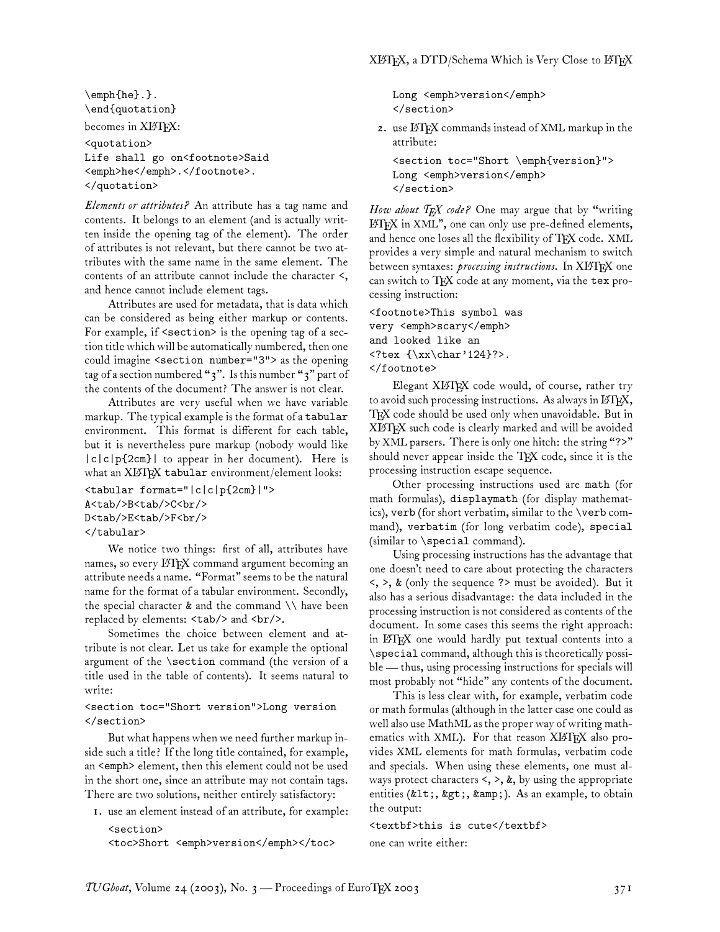\emph{he}.}. \end{quotation} becomes in XLATEX:

<quotation> Life shall go on<footnote>Said <emph>he</emph>.</footnote>. </quotation>

*Elements or attributes?* An attribute has a tag name and contents. It belongs to an element (and is actually written inside the opening tag of the element). The order of attributes is not relevant, but there cannot be two attributes with the same name in the same element. The contents of an attribute cannot include the character <, and hence cannot include element tags.

Attributes are used for metadata, that is data which can be considered as being either markup or contents. For example, if <section> is the opening tag of a section title which will be automatically numbered, then one could imagine <section number="3"> as the opening tag of a section numbered "3". Is this number "3" part of the contents of the document? The answer is not clear.

Attributes are very useful when we have variable markup. The typical example is the format of a tabular environment. This format is different for each table, but it is nevertheless pure markup (nobody would like |c|c|p{2cm}| to appear in her document). Here is what an XIATEX tabular environment/element looks:

```
<tabular format="|c|c|p{2cm}|">
A<tab/>>btab/>C<br/><br/>
D<tab/>E<tab/>F<br/><br/>
</tabular>
```
We notice two things: first of all, attributes have names, so every IATEX command argument becoming an attribute needs a name. "Format" seems to be the natural name for the format of a tabular environment. Secondly, the special character  $\&$  and the command  $\setminus \&$  have been replaced by elements: <tab/> and <br/> <br/>theory .

Sometimes the choice between element and attribute is not clear. Let us take for example the optional argument of the \section command (the version of a title used in the table of contents). It seems natural to write:

### <section toc="Short version">Long version </section>

But what happens when we need further markup inside such a title? If the long title contained, for example, an <emph> element, then this element could not be used in the short one, since an attribute may not contain tags. There are two solutions, neither entirely satisfactory:

1. use an element instead of an attribute, for example:

```
<section>
<toc>Short <emph>version</emph></toc>
```
Long <emph>version</emph> </section>

2. use LATEX commands instead of XML markup in the attribute:

<section toc="Short \emph{version}"> Long <emph>version</emph> </section>

*How about TEX code?* One may argue that by "writing L<sup>A</sup>TEX in XML", one can only use pre-defined elements, and hence one loses all the flexibility of TFX code. XML provides a very simple and natural mechanism to switch between syntaxes: *processing instructions*. In XL<sup>A</sup>TEX one can switch to TFX code at any moment, via the tex processing instruction:

<footnote>This symbol was very <emph>scary</emph> and looked like an <?tex {\xx\char'124}?>. </footnote>

Elegant XLIFX code would, of course, rather try to avoid such processing instructions. As always in LATEX, TEX code should be used only when unavoidable. But in XL<sup>A</sup>TEX such code is clearly marked and will be avoided by XML parsers. There is only one hitch: the string "?>" should never appear inside the TFX code, since it is the processing instruction escape sequence.

Other processing instructions used are math (for math formulas), displaymath (for display mathematics), verb (for short verbatim, similar to the \verb command), verbatim (for long verbatim code), special (similar to \special command).

Using processing instructions has the advantage that one doesn't need to care about protecting the characters  $\langle$ ,  $\rangle$ , & (only the sequence ?> must be avoided). But it also has a serious disadvantage: the data included in the processing instruction is not considered as contents of the document. In some cases this seems the right approach: in L<sup>A</sup>TEX one would hardly put textual contents into a \special command, although this is theoretically possible— thus, using processing instructions for specials will most probably not "hide" any contents of the document.

This is less clear with, for example, verbatim code or math formulas (although in the latter case one could as well also use MathML as the proper way of writing mathematics with XML). For that reason XIATEX also provides XML elements for math formulas, verbatim code and specials. When using these elements, one must always protect characters  $\lt, \gt, \&$ , by using the appropriate entities (&1t;, >, &). As an example, to obtain the output:

<textbf>this is cute</textbf> one can write either: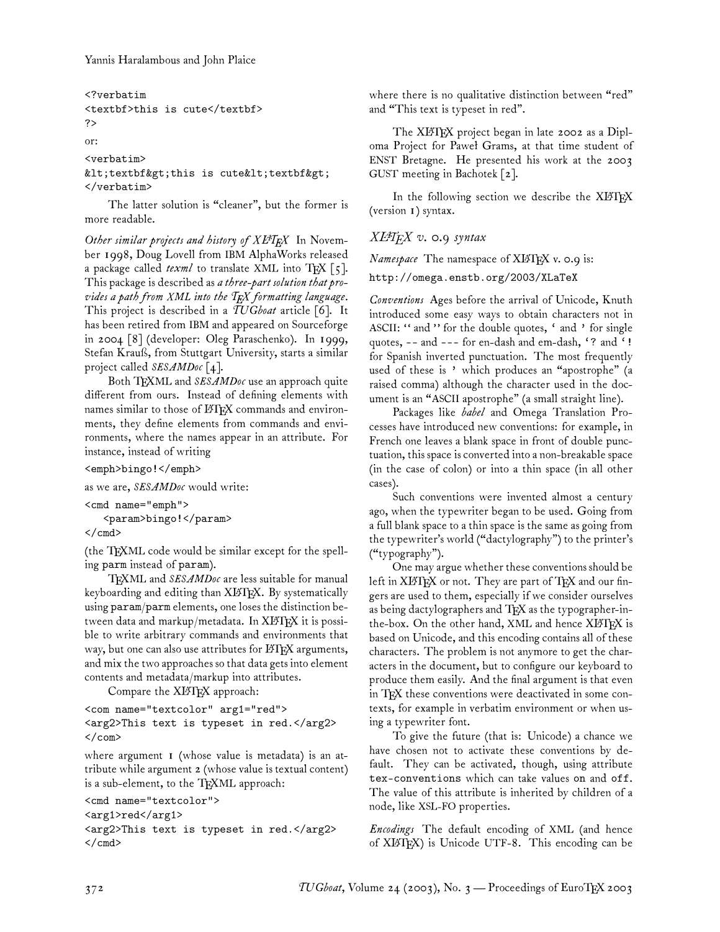```
<?verbatim
<textbf>this is cute</textbf>
?>
or:
<verbatim>
<textbf&gt;this is cute&lt;textbf&gt;
</verbatim>
```
The latter solution is "cleaner", but the former is more readable.

*Other similar projects and history of*  $XLATEX$  In November 1998, Doug Lovell from IBM AlphaWorks released a package called  $texm{ }texth$  to translate XML into TFX [5]. This package is described as *a three-part solution that provides a path from XML into the TEX formatting language*. This project is described in a *TUGboat* article [6]. It has been retired from IBM and appeared on Sourceforge in 2004 [8] (developer: Oleg Paraschenko). In 1999, Stefan Krauß, from Stuttgart University, starts a similar project called *SESAMDoc* [4].

Both TFXML and *SESAMDoc* use an approach quite different from ours. Instead of defining elements with names similar to those of LATEX commands and environments, they define elements from commands and environments, where the names appear in an attribute. For instance, instead of writing

<emph>bingo!</emph>

as we are, *SESAMDoc* would write:

<cmd name="emph">

```
<param>bingo!</param>
\langle / cmd\rangle
```
(the TFXML code would be similar except for the spelling parm instead of param).

TFXML and *SESAMDoc* are less suitable for manual keyboarding and editing than XIATEX. By systematically using param/parm elements, one loses the distinction between data and markup/metadata. In XIATEX it is possible to write arbitrary commands and environments that way, but one can also use attributes for LATEX arguments, and mix the two approaches so that data gets into element contents and metadata/markup into attributes.

Compare the XIATEX approach:

```
<com name="textcolor" arg1="red">
<arg2>This text is typeset in red.</arg2>
\langle/com\rangle
```
where argument 1 (whose value is metadata) is an attribute while argument 2 (whose value is textual content) is a sub-element, to the TEXML approach:

```
<cmd name="textcolor">
<arg1>red</arg1>
<arg2>This text is typeset in red.</arg2>
\langle / cmd\rangle
```
where there is no qualitative distinction between "red" and "This text is typeset in red".

The XIATEX project began in late 2002 as a Diploma Project for Paweł Grams, at that time student of ENST Bretagne. He presented his work at the 2003 GUST meeting in Bachotek [2].

In the following section we describe the XIATEX (version 1) syntax.

# *XL<sup>A</sup>TEX v. 0.9 syntax*

*Namespace* The namespace of XLATEX v. 0.9 is:

http://omega.enstb.org/2003/XLaTeX

*Conventions* Ages before the arrival of Unicode, Knuth introduced some easy ways to obtain characters not in ASCII: " and " for the double quotes, ' and ' for single quotes, -- and --- for en-dash and em-dash, '? and '! for Spanish inverted punctuation. The most frequently used of these is ' which produces an "apostrophe" (a raised comma) although the character used in the document is an "ASCII apostrophe" (a small straight line).

Packages like *babel* and Omega Translation Processes have introduced new conventions: for example, in French one leaves a blank space in front of double punctuation, this space is converted into a non-breakable space (in the case of colon) or into a thin space (in all other cases).

Such conventions were invented almost a century ago, when the typewriter began to be used. Going from a full blank space to a thin space is the same as going from the typewriter's world ("dactylography") to the printer's ("typography").

One may argue whether these conventions should be left in XIATEX or not. They are part of TEX and our fingers are used to them, especially if we consider ourselves as being dactylographers and  $T_{F}X$  as the typographer-inthe-box. On the other hand, XML and hence  $X\cancel{B}T\cancel{F}X$  is based on Unicode, and this encoding contains all of these characters. The problem is not anymore to get the characters in the document, but to configure our keyboard to produce them easily. And the final argument is that even in TFX these conventions were deactivated in some contexts, for example in verbatim environment or when using a typewriter font.

To give the future (that is: Unicode) a chance we have chosen not to activate these conventions by default. They can be activated, though, using attribute tex-conventions which can take values on and off. The value of this attribute is inherited by children of a node, like XSL-FO properties.

*Encodings* The default encoding of XML (and hence of XL<sup>A</sup>TEX) is Unicode UTF-8. This encoding can be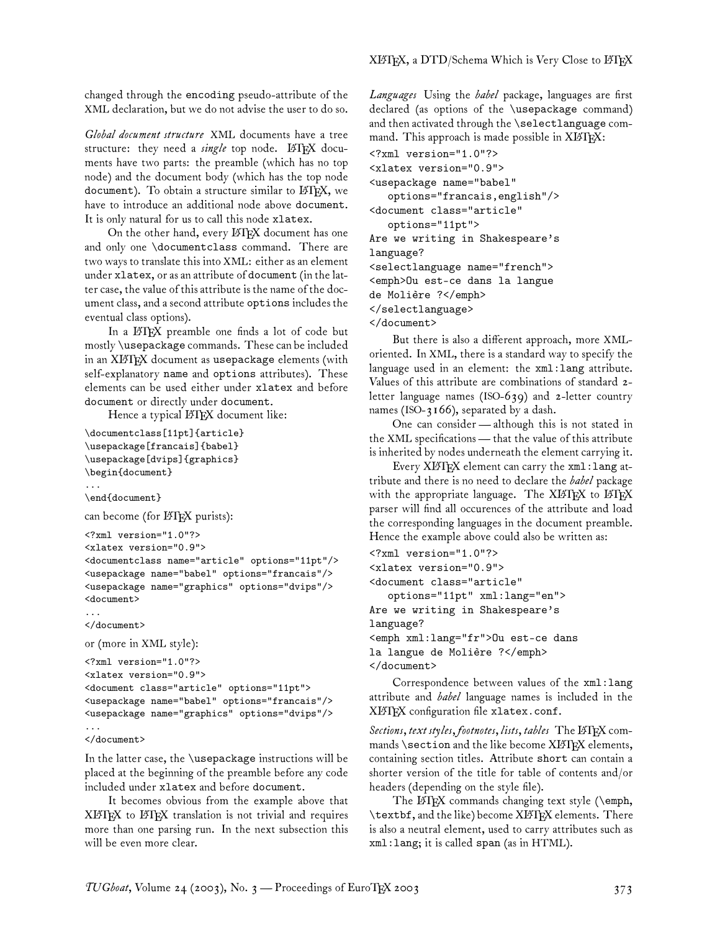changed through the encoding pseudo-attribute of the XML declaration, but we do not advise the user to do so.

*Global document structure* XML documents have a tree structure: they need a *single* top node. LATEX documents have two parts: the preamble (which has no top node) and the document body (which has the top node document). To obtain a structure similar to  $EFTK$ , we have to introduce an additional node above document. It is only natural for us to call this node xlatex.

On the other hand, every LATEX document has one and only one \documentclass command. There are two ways to translate this into XML: either as an element under xlatex, or as an attribute of document (in the latter case, the value of this attribute is the name of the document class, and a second attribute options includes the eventual class options).

In a ETEX preamble one finds a lot of code but mostly \usepackage commands. These can be included in an XIATEX document as usepackage elements (with self-explanatory name and options attributes). These elements can be used either under xlatex and before document or directly under document.

Hence a typical LATEX document like:

```
\documentclass[11pt]{article}
\usepackage[francais]{babel}
\usepackage[dvips]{graphics}
\begin{document}
...
\end{document}
can become (for LATEX purists):
<?xml version="1.0"?>
<xlatex version="0.9">
<documentclass name="article" options="11pt"/>
<usepackage name="babel" options="francais"/>
<usepackage name="graphics" options="dvips"/>
<document>
...
</document>
or (more in XML style):
```

```
<?xml version="1.0"?>
<xlatex version="0.9">
<document class="article" options="11pt">
<usepackage name="babel" options="francais"/>
<usepackage name="graphics" options="dvips"/>
...
```

```
</document>
```
In the latter case, the \usepackage instructions will be placed at the beginning of the preamble before any code included under xlatex and before document.

It becomes obvious from the example above that XL<sup>A</sup>TEX to L<sup>A</sup>TEX translation is not trivial and requires more than one parsing run. In the next subsection this will be even more clear.

*Languages* Using the *babel* package, languages are first declared (as options of the \usepackage command) and then activated through the \selectlanguage command. This approach is made possible in XIATFX:

```
<?xml version="1.0"?>
<xlatex version="0.9">
<usepackage name="babel"
  options="francais,english"/>
<document class="article"
  options="11pt">
Are we writing in Shakespeare's
language?
<selectlanguage name="french">
<emph>Ou est-ce dans la langue
de Molière ?</emph>
</selectlanguage>
</document>
```
But there is also a different approach, more XMLoriented. In XML, there is a standard way to specify the language used in an element: the xml:lang attribute. Values of this attribute are combinations of standard 2 letter language names (ISO-639) and 2-letter country names (ISO-3166), separated by a dash.

One can consider— although this is not stated in the XML specifications— that the value of this attribute is inherited by nodes underneath the element carrying it.

Every XIATEX element can carry the xml: lang attribute and there is no need to declare the *babel* package with the appropriate language. The XIATEX to IATEX parser will find all occurences of the attribute and load the corresponding languages in the document preamble. Hence the example above could also be written as:

```
<?xml version="1.0"?>
<xlatex version="0.9">
<document class="article"
   options="11pt" xml:lang="en">
Are we writing in Shakespeare's
language?
<emph xml:lang="fr">Ou est-ce dans
la langue de Molière ?</emph>
</document>
```
Correspondence between values of the xml:lang attribute and *babel* language names is included in the XLATEX configuration file xlatex.conf.

*Sections, text styles, footnotes, lists, tables* The L<sup>A</sup>TEX commands  $\setminus$  section and the like become XLATEX elements, containing section titles. Attribute short can contain a shorter version of the title for table of contents and/or headers (depending on the style file).

The LATEX commands changing text style (\emph, \textbf, and the like) become XL<sup>A</sup>TEX elements. There is also a neutral element, used to carry attributes such as xml:lang; it is called span (as in HTML).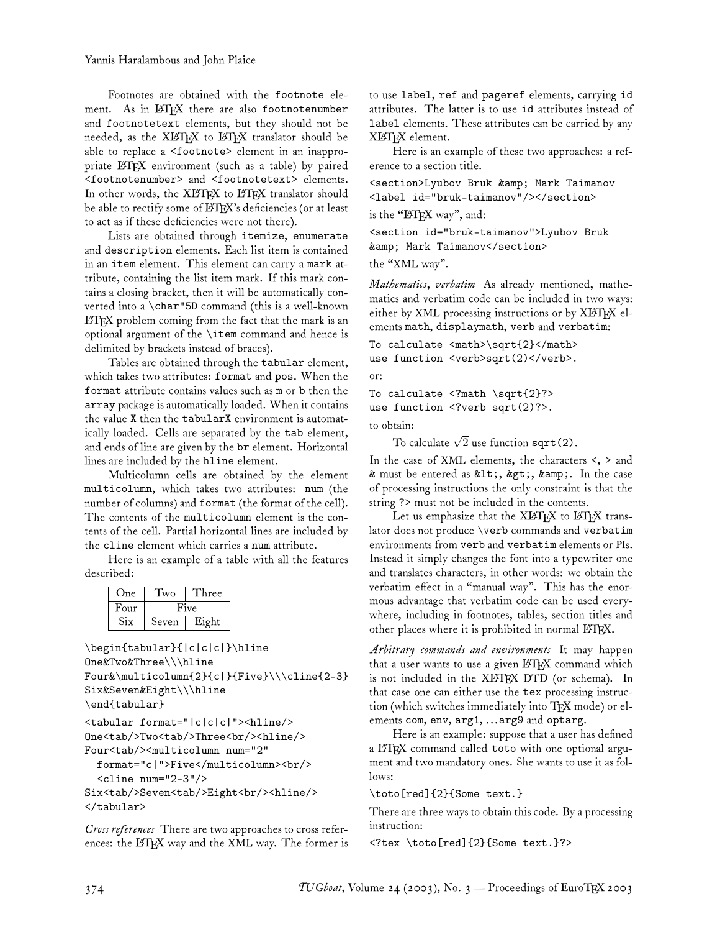Footnotes are obtained with the footnote element. As in LATEX there are also footnotenumber and footnotetext elements, but they should not be needed, as the XIATEX to IATEX translator should be able to replace a <footnote> element in an inappropriate LATEX environment (such as a table) by paired <footnotenumber> and <footnotetext> elements. In other words, the XIATEX to IATEX translator should be able to rectify some of LATEX's deficiencies (or at least to act as if these deficiencies were not there).

Lists are obtained through itemize, enumerate and description elements. Each list item is contained in an item element. This element can carry a mark attribute, containing the list item mark. If this mark contains a closing bracket, then it will be automatically converted into a \char"5D command (this is a well-known L<sup>A</sup>TEX problem coming from the fact that the mark is an optional argument of the \item command and hence is delimited by brackets instead of braces).

Tables are obtained through the tabular element, which takes two attributes: format and pos. When the format attribute contains values such as m or b then the array package is automatically loaded. When it contains the value X then the tabularX environment is automatically loaded. Cells are separated by the tab element, and ends of line are given by the br element. Horizontal lines are included by the hline element.

Multicolumn cells are obtained by the element multicolumn, which takes two attributes: num (the number of columns) and format (the format of the cell). The contents of the multicolumn element is the contents of the cell. Partial horizontal lines are included by the cline element which carries a num attribute.

Here is an example of a table with all the features described:

| One  | l wo  | hree  |
|------|-------|-------|
| Four | Five  |       |
| Six  | Seven | Eight |

```
\begin{tabular}{|c|c|c|}\hline
One&Two&Three\\\hline
Four&\multicolumn{2}{c|}{Five}\\\cline{2-3}
Six&Seven&Eight\\\hline
\end{tabular}
```

```
<tabular format="|c|c|c|"><hline/>
One<tab/>Two<tab/>Three<br/><hline/>
Four<tab/>>>>><multicolumn num="2"
```

```
format="c|">Five</multicolumn><br/>
\text{cline num}="2-3"/>
```

```
Six<tab/>Seven<tab/>Eight<br/>shr>>>>>>>
</tabular>
```
*Cross references* There are two approaches to cross references: the LATEX way and the XML way. The former is to use label, ref and pageref elements, carrying id attributes. The latter is to use id attributes instead of label elements. These attributes can be carried by any XL<sup>A</sup>TEX element.

Here is an example of these two approaches: a reference to a section title.

<section>Lyubov Bruk & amp; Mark Taimanov <label id="bruk-taimanov"/></section>

is the "ETFX way", and:

<section id="bruk-taimanov">Lyubov Bruk & Mark Taimanov</section>

the "XML way".

*Mathematics, verbatim* As already mentioned, mathematics and verbatim code can be included in two ways: either by XML processing instructions or by XIATEX elements math, displaymath, verb and verbatim:

To calculate  $\mathsf{Cmath}\$  \sqrt $\{2\}\lt\mathsf{match}$ use function <verb>sqrt(2)</verb>.

or:

To calculate <?math \sqrt{2}?> use function <?verb sqrt(2)?>. to obtain:

To calculate  $\sqrt{2}$  use function  $\texttt{sqrt}(2)$ .

In the case of XML elements, the characters <, > and & must be entered as <, &gt;, &amp;. In the case of processing instructions the only constraint is that the string ?> must not be included in the contents.

Let us emphasize that the XLATEX to LATEX translator does not produce \verb commands and verbatim environments from verb and verbatim elements or PIs. Instead it simply changes the font into a typewriter one and translates characters, in other words: we obtain the verbatim effect in a "manual way". This has the enormous advantage that verbatim code can be used everywhere, including in footnotes, tables, section titles and other places where it is prohibited in normal LATEX.

*Arbitrary commands and environments* It may happen that a user wants to use a given  $\mathbb{H} \mathbb{F}$ X command which is not included in the XIATEX DTD (or schema). In that case one can either use the tex processing instruction (which switches immediately into TFX mode) or elements com, env, arg1, ...arg9 and optarg.

Here is an example: suppose that a user has defined a L<sup>A</sup>TEX command called toto with one optional argument and two mandatory ones. She wants to use it as follows:

\toto[red]{2}{Some text.}

There are three ways to obtain this code. By a processing instruction:

<?tex \toto[red]{2}{Some text.}?>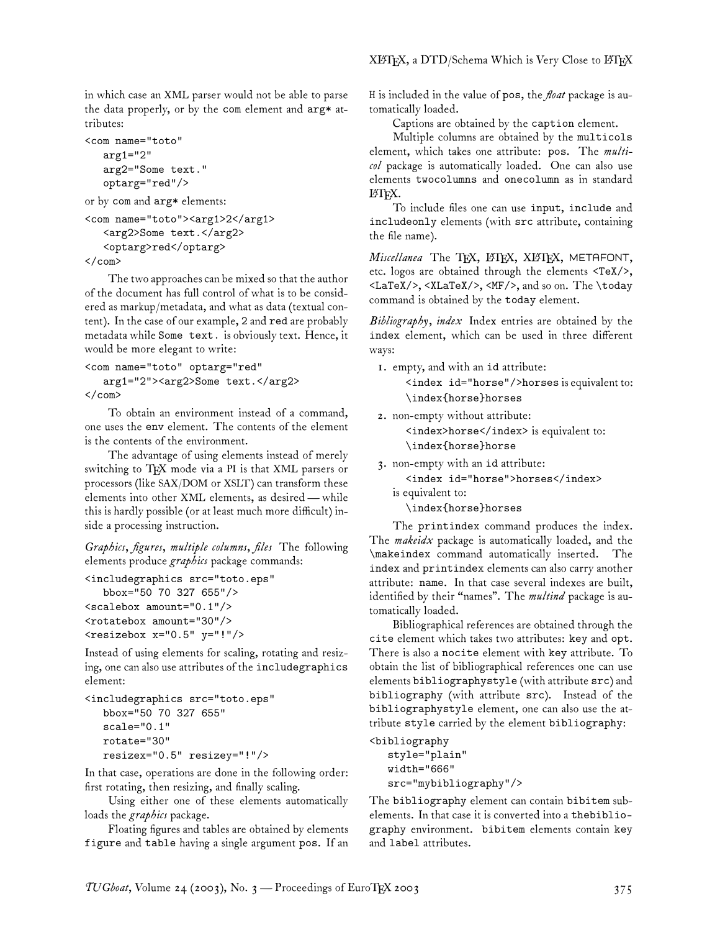in which case an XML parser would not be able to parse the data properly, or by the com element and arg\* attributes:

```
<com name="toto"
   arg1="2"
   arg2="Some text."
   optarg="red"/>
```
or by com and arg\* elements:

```
<com name="toto"><arg1>2</arg1>
   <arg2>Some text.</arg2>
   <optarg>red</optarg>
\langle/com\rangle
```
The two approaches can be mixed so that the author of the document has full control of what is to be considered as markup/metadata, and what as data (textual content). In the case of our example, 2 and red are probably metadata while Some text. is obviously text. Hence, it would be more elegant to write:

```
<com name="toto" optarg="red"
   arg1="2"><arg2>Some text.</arg2>
</com>
```
To obtain an environment instead of a command, one uses the env element. The contents of the element is the contents of the environment.

The advantage of using elements instead of merely switching to TEX mode via a PI is that XML parsers or processors (like SAX/DOM or XSLT) can transform these elements into other XML elements, as desired— while this is hardly possible (or at least much more difficult) inside a processing instruction.

*Graphics, figures, multiple columns, files* The following elements produce *graphics* package commands:

```
<includegraphics src="toto.eps"
   bbox="50 70 327 655"/>
<scalebox amount="0.1"/>
<rotatebox amount="30"/>
<resizebox x="0.5" y="!"
```
Instead of using elements for scaling, rotating and resizing, one can also use attributes of the includegraphics element:

```
<includegraphics src="toto.eps"
  bbox="50 70 327 655"
   scale="0.1"
   rotate="30"
   resizex="0.5" resizey="!"/>
```
In that case, operations are done in the following order: first rotating, then resizing, and finally scaling.

Using either one of these elements automatically loads the *graphics* package.

Floating figures and tables are obtained by elements figure and table having a single argument pos. If an H is included in the value of pos, the *float* package is automatically loaded.

Captions are obtained by the caption element.

Multiple columns are obtained by the multicols element, which takes one attribute: pos. The *multicol* package is automatically loaded. One can also use elements twocolumns and onecolumn as in standard L<sup>A</sup>TEX.

To include files one can use input, include and includeonly elements (with src attribute, containing the file name).

*Miscellanea* The TFX, LATFX, XLATFX, METAFONT, etc. logos are obtained through the elements <TeX/>, <LaTeX/>, <XLaTeX/>, <MF/>, and so on. The \today command is obtained by the today element.

*Bibliography, index* Index entries are obtained by the index element, which can be used in three different ways:

1. empty, and with an id attribute:

<index id="horse"/>horses is equivalent to: \index{horse}horses

2. non-empty without attribute:

<index>horse</index> is equivalent to:

\index{horse}horse

3. non-empty with an id attribute:

<index id="horse">horses</index> is equivalent to:

\index{horse}horses

The printindex command produces the index. The *makeidx* package is automatically loaded, and the \makeindex command automatically inserted. The index and printindex elements can also carry another attribute: name. In that case several indexes are built, identified by their "names". The *multind* package is automatically loaded.

Bibliographical references are obtained through the cite element which takes two attributes: key and opt. There is also a nocite element with key attribute. To obtain the list of bibliographical references one can use elements bibliographystyle (with attribute src) and bibliography (with attribute src). Instead of the bibliographystyle element, one can also use the attribute style carried by the element bibliography:

```
<bibliography
  style="plain"
  width="666"
   src="mybibliography"/>
```
The bibliography element can contain bibitem subelements. In that case it is converted into a thebibliography environment. bibitem elements contain key and label attributes.